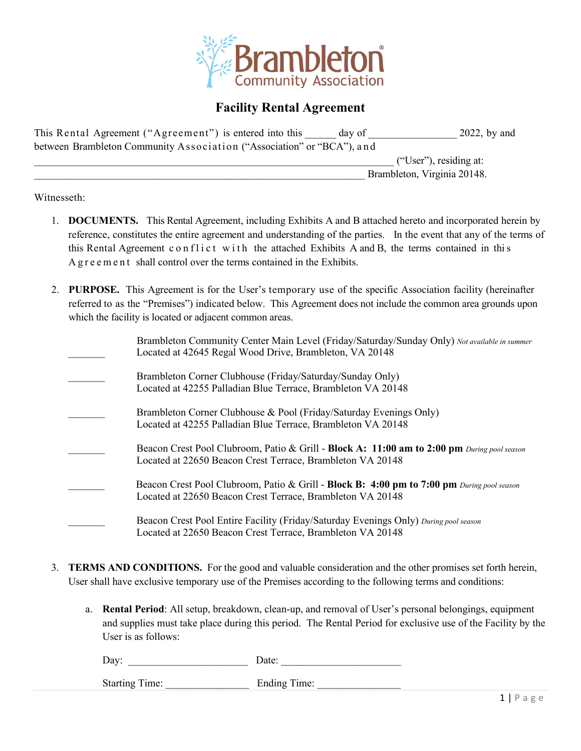

# **Facility Rental Agreement**

| This Rental Agreement ("Agreement") is entered into this               | day of | $2022$ , by and             |
|------------------------------------------------------------------------|--------|-----------------------------|
| between Brambleton Community Association ("Association" or "BCA"), and |        |                             |
|                                                                        |        | ("User"), residing at:      |
|                                                                        |        | Brambleton, Virginia 20148. |

Witnesseth:

- 1. **DOCUMENTS.** This Rental Agreement, including Exhibits A and B attached hereto and incorporated herein by reference, constitutes the entire agreement and understanding of the parties. In the event that any of the terms of this Rental Agreement conflict with the attached Exhibits A and B, the terms contained in this Agreement shall control over the terms contained in the Exhibits.
- 2. **PURPOSE.** This Agreement is for the User's temporary use of the specific Association facility (hereinafter referred to as the "Premises") indicated below. This Agreement does not include the common area grounds upon which the facility is located or adjacent common areas.

|  | Brambleton Community Center Main Level (Friday/Saturday/Sunday Only) Not available in summer<br>Located at 42645 Regal Wood Drive, Brambleton, VA 20148   |
|--|-----------------------------------------------------------------------------------------------------------------------------------------------------------|
|  | Brambleton Corner Clubhouse (Friday/Saturday/Sunday Only)<br>Located at 42255 Palladian Blue Terrace, Brambleton VA 20148                                 |
|  | Brambleton Corner Clubhouse & Pool (Friday/Saturday Evenings Only)<br>Located at 42255 Palladian Blue Terrace, Brambleton VA 20148                        |
|  | Beacon Crest Pool Clubroom, Patio & Grill - Block A: 11:00 am to 2:00 pm During pool season<br>Located at 22650 Beacon Crest Terrace, Brambleton VA 20148 |
|  | Beacon Crest Pool Clubroom, Patio & Grill - Block B: 4:00 pm to 7:00 pm During pool season<br>Located at 22650 Beacon Crest Terrace, Brambleton VA 20148  |
|  | Beacon Crest Pool Entire Facility (Friday/Saturday Evenings Only) During pool season<br>Located at 22650 Beacon Crest Terrace, Brambleton VA 20148        |

- 3. **TERMS AND CONDITIONS.** For the good and valuable consideration and the other promises set forth herein, User shall have exclusive temporary use of the Premises according to the following terms and conditions:
	- a. **Rental Period**: All setup, breakdown, clean-up, and removal of User's personal belongings, equipment and supplies must take place during this period. The Rental Period for exclusive use of the Facility by the User is as follows:

| $\mathbf{\bar{n}}$<br>- 12<br>້ີ<br>$ -$ |  | ٠.<br>- |
|------------------------------------------|--|---------|
|------------------------------------------|--|---------|

Starting Time: Ending Time: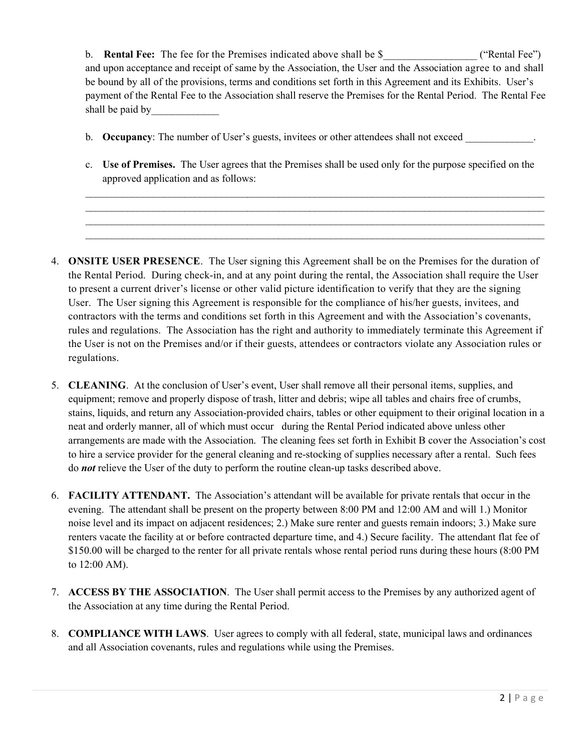b. **Rental Fee:** The fee for the Premises indicated above shall be \$ ("Rental Fee") and upon acceptance and receipt of same by the Association, the User and the Association agree to and shall be bound by all of the provisions, terms and conditions set forth in this Agreement and its Exhibits. User's payment of the Rental Fee to the Association shall reserve the Premises for the Rental Period. The Rental Fee shall be paid by

- b. **Occupancy**: The number of User's guests, invitees or other attendees shall not exceed
- c. **Use of Premises.** The User agrees that the Premises shall be used only for the purpose specified on the approved application and as follows:

 $\_$  $\_$  $\_$ \_\_\_\_\_\_\_\_\_\_\_\_\_\_\_\_\_\_\_\_\_\_\_\_\_\_\_\_\_\_\_\_\_\_\_\_\_\_\_\_\_\_\_\_\_\_\_\_\_\_\_\_\_\_\_\_\_\_\_\_\_\_\_\_\_\_\_\_\_\_\_\_\_\_\_\_\_\_\_\_\_\_\_\_\_\_\_\_

- 4. **ONSITE USER PRESENCE**. The User signing this Agreement shall be on the Premises for the duration of the Rental Period. During check-in, and at any point during the rental, the Association shall require the User to present a current driver's license or other valid picture identification to verify that they are the signing User. The User signing this Agreement is responsible for the compliance of his/her guests, invitees, and contractors with the terms and conditions set forth in this Agreement and with the Association's covenants, rules and regulations. The Association has the right and authority to immediately terminate this Agreement if the User is not on the Premises and/or if their guests, attendees or contractors violate any Association rules or regulations.
- 5. **CLEANING**. At the conclusion of User's event, User shall remove all their personal items, supplies, and equipment; remove and properly dispose of trash, litter and debris; wipe all tables and chairs free of crumbs, stains, liquids, and return any Association-provided chairs, tables or other equipment to their original location in a neat and orderly manner, all of which must occur during the Rental Period indicated above unless other arrangements are made with the Association. The cleaning fees set forth in Exhibit B cover the Association's cost to hire a service provider for the general cleaning and re-stocking of supplies necessary after a rental. Such fees do *not* relieve the User of the duty to perform the routine clean-up tasks described above.
- 6. **FACILITY ATTENDANT.** The Association's attendant will be available for private rentals that occur in the evening. The attendant shall be present on the property between 8:00 PM and 12:00 AM and will 1.) Monitor noise level and its impact on adjacent residences; 2.) Make sure renter and guests remain indoors; 3.) Make sure renters vacate the facility at or before contracted departure time, and 4.) Secure facility. The attendant flat fee of \$150.00 will be charged to the renter for all private rentals whose rental period runs during these hours (8:00 PM to 12:00 AM).
- 7. **ACCESS BY THE ASSOCIATION**. The User shall permit access to the Premises by any authorized agent of the Association at any time during the Rental Period.
- 8. **COMPLIANCE WITH LAWS**. User agrees to comply with all federal, state, municipal laws and ordinances and all Association covenants, rules and regulations while using the Premises.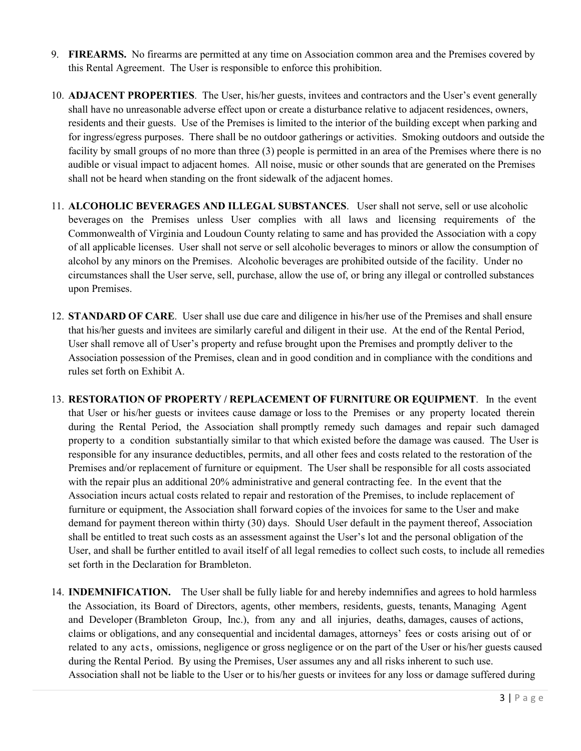- 9. **FIREARMS.** No firearms are permitted at any time on Association common area and the Premises covered by this Rental Agreement. The User is responsible to enforce this prohibition.
- 10. **ADJACENT PROPERTIES**. The User, his/her guests, invitees and contractors and the User's event generally shall have no unreasonable adverse effect upon or create a disturbance relative to adjacent residences, owners, residents and their guests. Use of the Premises is limited to the interior of the building except when parking and for ingress/egress purposes. There shall be no outdoor gatherings or activities. Smoking outdoors and outside the facility by small groups of no more than three (3) people is permitted in an area of the Premises where there is no audible or visual impact to adjacent homes. All noise, music or other sounds that are generated on the Premises shall not be heard when standing on the front sidewalk of the adjacent homes.
- 11. **ALCOHOLIC BEVERAGES AND ILLEGAL SUBSTANCES**. User shall not serve, sell or use alcoholic beverages on the Premises unless User complies with all laws and licensing requirements of the Commonwealth of Virginia and Loudoun County relating to same and has provided the Association with a copy of all applicable licenses. User shall not serve or sell alcoholic beverages to minors or allow the consumption of alcohol by any minors on the Premises. Alcoholic beverages are prohibited outside of the facility. Under no circumstances shall the User serve, sell, purchase, allow the use of, or bring any illegal or controlled substances upon Premises.
- 12. **STANDARD OF CARE**. User shall use due care and diligence in his/her use of the Premises and shall ensure that his/her guests and invitees are similarly careful and diligent in their use. At the end of the Rental Period, User shall remove all of User's property and refuse brought upon the Premises and promptly deliver to the Association possession of the Premises, clean and in good condition and in compliance with the conditions and rules set forth on Exhibit A.
- 13. **RESTORATION OF PROPERTY / REPLACEMENT OF FURNITURE OR EQUIPMENT**. In the event that User or his/her guests or invitees cause damage or loss to the Premises or any property located therein during the Rental Period, the Association shall promptly remedy such damages and repair such damaged property to a condition substantially similar to that which existed before the damage was caused. The User is responsible for any insurance deductibles, permits, and all other fees and costs related to the restoration of the Premises and/or replacement of furniture or equipment. The User shall be responsible for all costs associated with the repair plus an additional 20% administrative and general contracting fee. In the event that the Association incurs actual costs related to repair and restoration of the Premises, to include replacement of furniture or equipment, the Association shall forward copies of the invoices for same to the User and make demand for payment thereon within thirty (30) days. Should User default in the payment thereof, Association shall be entitled to treat such costs as an assessment against the User's lot and the personal obligation of the User, and shall be further entitled to avail itself of all legal remedies to collect such costs, to include all remedies set forth in the Declaration for Brambleton.
- 14. **INDEMNIFICATION.** The User shall be fully liable for and hereby indemnifies and agrees to hold harmless the Association, its Board of Directors, agents, other members, residents, guests, tenants, Managing Agent and Developer (Brambleton Group, Inc.), from any and all injuries, deaths, damages, causes of actions, claims or obligations, and any consequential and incidental damages, attorneys' fees or costs arising out of or related to any acts, omissions, negligence or gross negligence or on the part of the User or his/her guests caused during the Rental Period. By using the Premises, User assumes any and all risks inherent to such use. Association shall not be liable to the User or to his/her guests or invitees for any loss or damage suffered during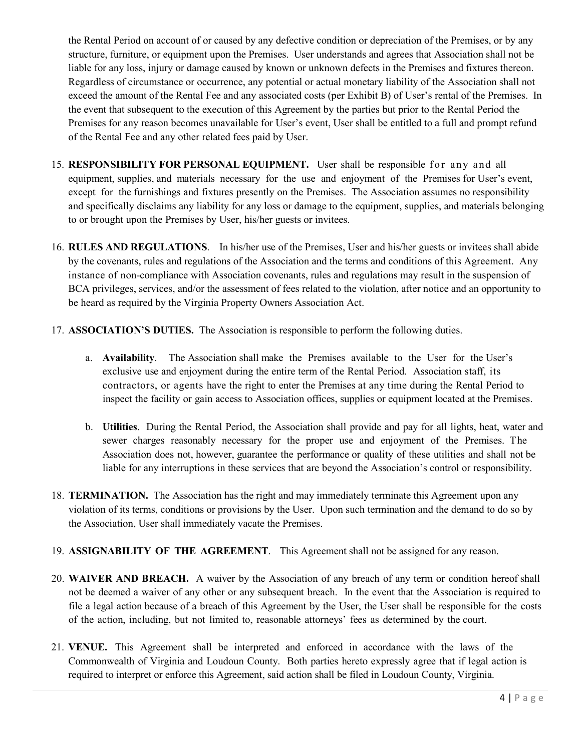the Rental Period on account of or caused by any defective condition or depreciation of the Premises, or by any structure, furniture, or equipment upon the Premises. User understands and agrees that Association shall not be liable for any loss, injury or damage caused by known or unknown defects in the Premises and fixtures thereon. Regardless of circumstance or occurrence, any potential or actual monetary liability of the Association shall not exceed the amount of the Rental Fee and any associated costs (per Exhibit B) of User's rental of the Premises. In the event that subsequent to the execution of this Agreement by the parties but prior to the Rental Period the Premises for any reason becomes unavailable for User's event, User shall be entitled to a full and prompt refund of the Rental Fee and any other related fees paid by User.

- 15. **RESPONSIBILITY FOR PERSONAL EQUIPMENT.** User shall be responsible for any and all equipment, supplies, and materials necessary for the use and enjoyment of the Premises for User's event, except for the furnishings and fixtures presently on the Premises. The Association assumes no responsibility and specifically disclaims any liability for any loss or damage to the equipment, supplies, and materials belonging to or brought upon the Premises by User, his/her guests or invitees.
- 16. **RULES AND REGULATIONS**. In his/her use of the Premises, User and his/her guests or invitees shall abide by the covenants, rules and regulations of the Association and the terms and conditions of this Agreement. Any instance of non-compliance with Association covenants, rules and regulations may result in the suspension of BCA privileges, services, and/or the assessment of fees related to the violation, after notice and an opportunity to be heard as required by the Virginia Property Owners Association Act.
- 17. **ASSOCIATION'S DUTIES.** The Association is responsible to perform the following duties.
	- a. **Availability**. The Association shall make the Premises available to the User for the User's exclusive use and enjoyment during the entire term of the Rental Period. Association staff, its contractors, or agents have the right to enter the Premises at any time during the Rental Period to inspect the facility or gain access to Association offices, supplies or equipment located at the Premises.
	- b. **Utilities**. During the Rental Period, the Association shall provide and pay for all lights, heat, water and sewer charges reasonably necessary for the proper use and enjoyment of the Premises. The Association does not, however, guarantee the performance or quality of these utilities and shall not be liable for any interruptions in these services that are beyond the Association's control or responsibility.
- 18. **TERMINATION.** The Association has the right and may immediately terminate this Agreement upon any violation of its terms, conditions or provisions by the User. Upon such termination and the demand to do so by the Association, User shall immediately vacate the Premises.
- 19. **ASSIGNABILITY OF THE AGREEMENT**. This Agreement shall not be assigned for any reason.
- 20. **WAIVER AND BREACH.** A waiver by the Association of any breach of any term or condition hereof shall not be deemed a waiver of any other or any subsequent breach. In the event that the Association is required to file a legal action because of a breach of this Agreement by the User, the User shall be responsible for the costs of the action, including, but not limited to, reasonable attorneys' fees as determined by the court.
- 21. **VENUE.** This Agreement shall be interpreted and enforced in accordance with the laws of the Commonwealth of Virginia and Loudoun County. Both parties hereto expressly agree that if legal action is required to interpret or enforce this Agreement, said action shall be filed in Loudoun County, Virginia.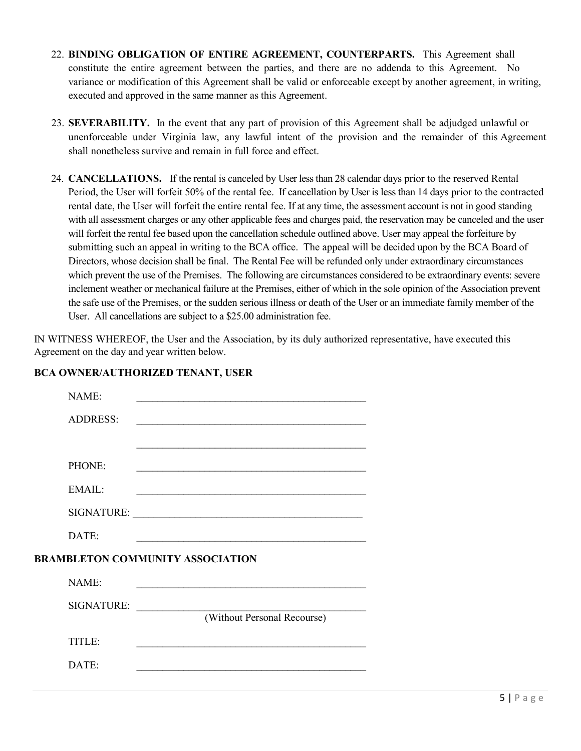- 22. **BINDING OBLIGATION OF ENTIRE AGREEMENT, COUNTERPARTS.** This Agreement shall constitute the entire agreement between the parties, and there are no addenda to this Agreement. No variance or modification of this Agreement shall be valid or enforceable except by another agreement, in writing, executed and approved in the same manner as this Agreement.
- 23. **SEVERABILITY.** In the event that any part of provision of this Agreement shall be adjudged unlawful or unenforceable under Virginia law, any lawful intent of the provision and the remainder of this Agreement shall nonetheless survive and remain in full force and effect.
- 24. **CANCELLATIONS.** If the rental is canceled by User less than 28 calendar days prior to the reserved Rental Period, the User will forfeit 50% of the rental fee. If cancellation by User is less than 14 days prior to the contracted rental date, the User will forfeit the entire rental fee. If at any time, the assessment account is not in good standing with all assessment charges or any other applicable fees and charges paid, the reservation may be canceled and the user will forfeit the rental fee based upon the cancellation schedule outlined above. User may appeal the forfeiture by submitting such an appeal in writing to the BCA office. The appeal will be decided upon by the BCA Board of Directors, whose decision shall be final. The Rental Fee will be refunded only under extraordinary circumstances which prevent the use of the Premises. The following are circumstances considered to be extraordinary events: severe inclement weather or mechanical failure at the Premises, either of which in the sole opinion of the Association prevent the safe use of the Premises, or the sudden serious illness or death of the User or an immediate family member of the User. All cancellations are subject to a \$25.00 administration fee.

IN WITNESS WHEREOF, the User and the Association, by its duly authorized representative, have executed this Agreement on the day and year written below.

| NAME:                                   |                             |  |  |  |
|-----------------------------------------|-----------------------------|--|--|--|
| <b>ADDRESS:</b>                         |                             |  |  |  |
|                                         |                             |  |  |  |
| PHONE:                                  |                             |  |  |  |
| EMAIL:                                  |                             |  |  |  |
|                                         |                             |  |  |  |
| DATE:                                   |                             |  |  |  |
| <b>BRAMBLETON COMMUNITY ASSOCIATION</b> |                             |  |  |  |
| NAME:                                   |                             |  |  |  |
| <b>SIGNATURE:</b>                       |                             |  |  |  |
|                                         | (Without Personal Recourse) |  |  |  |
| TITLE:                                  |                             |  |  |  |
| DATE:                                   |                             |  |  |  |
|                                         |                             |  |  |  |

# **BCA OWNER/AUTHORIZED TENANT, USER**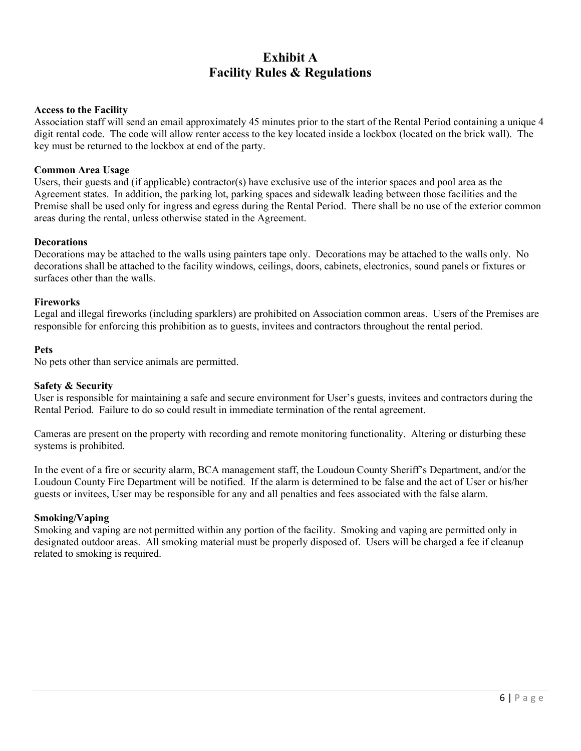# **Exhibit A Facility Rules & Regulations**

## **Access to the Facility**

Association staff will send an email approximately 45 minutes prior to the start of the Rental Period containing a unique 4 digit rental code. The code will allow renter access to the key located inside a lockbox (located on the brick wall). The key must be returned to the lockbox at end of the party.

## **Common Area Usage**

Users, their guests and (if applicable) contractor(s) have exclusive use of the interior spaces and pool area as the Agreement states. In addition, the parking lot, parking spaces and sidewalk leading between those facilities and the Premise shall be used only for ingress and egress during the Rental Period. There shall be no use of the exterior common areas during the rental, unless otherwise stated in the Agreement.

## **Decorations**

Decorations may be attached to the walls using painters tape only. Decorations may be attached to the walls only. No decorations shall be attached to the facility windows, ceilings, doors, cabinets, electronics, sound panels or fixtures or surfaces other than the walls.

## **Fireworks**

Legal and illegal fireworks (including sparklers) are prohibited on Association common areas. Users of the Premises are responsible for enforcing this prohibition as to guests, invitees and contractors throughout the rental period.

## **Pets**

No pets other than service animals are permitted.

## **Safety & Security**

User is responsible for maintaining a safe and secure environment for User's guests, invitees and contractors during the Rental Period. Failure to do so could result in immediate termination of the rental agreement.

Cameras are present on the property with recording and remote monitoring functionality. Altering or disturbing these systems is prohibited.

In the event of a fire or security alarm, BCA management staff, the Loudoun County Sheriff's Department, and/or the Loudoun County Fire Department will be notified. If the alarm is determined to be false and the act of User or his/her guests or invitees, User may be responsible for any and all penalties and fees associated with the false alarm.

## **Smoking/Vaping**

Smoking and vaping are not permitted within any portion of the facility. Smoking and vaping are permitted only in designated outdoor areas. All smoking material must be properly disposed of. Users will be charged a fee if cleanup related to smoking is required.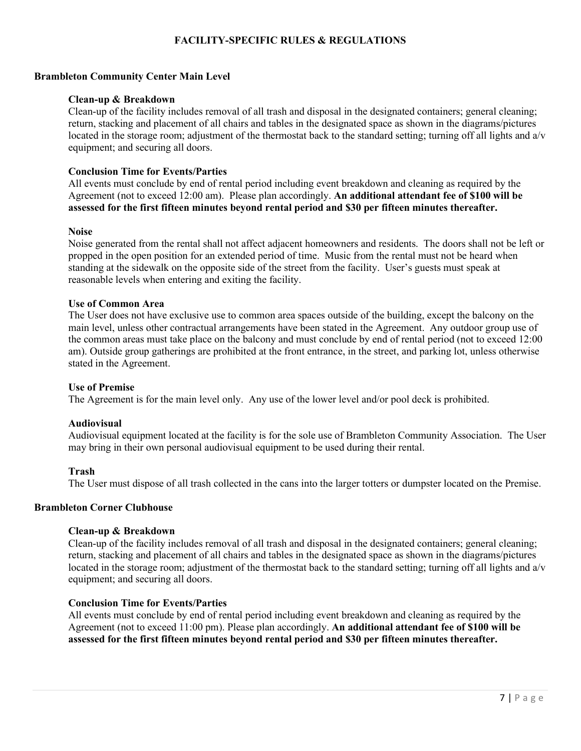# **FACILITY-SPECIFIC RULES & REGULATIONS**

### **Brambleton Community Center Main Level**

#### **Clean-up & Breakdown**

Clean-up of the facility includes removal of all trash and disposal in the designated containers; general cleaning; return, stacking and placement of all chairs and tables in the designated space as shown in the diagrams/pictures located in the storage room; adjustment of the thermostat back to the standard setting; turning off all lights and a/v equipment; and securing all doors.

### **Conclusion Time for Events/Parties**

All events must conclude by end of rental period including event breakdown and cleaning as required by the Agreement (not to exceed 12:00 am). Please plan accordingly. **An additional attendant fee of \$100 will be assessed for the first fifteen minutes beyond rental period and \$30 per fifteen minutes thereafter.**

#### **Noise**

Noise generated from the rental shall not affect adjacent homeowners and residents. The doors shall not be left or propped in the open position for an extended period of time. Music from the rental must not be heard when standing at the sidewalk on the opposite side of the street from the facility. User's guests must speak at reasonable levels when entering and exiting the facility.

### **Use of Common Area**

The User does not have exclusive use to common area spaces outside of the building, except the balcony on the main level, unless other contractual arrangements have been stated in the Agreement. Any outdoor group use of the common areas must take place on the balcony and must conclude by end of rental period (not to exceed 12:00 am). Outside group gatherings are prohibited at the front entrance, in the street, and parking lot, unless otherwise stated in the Agreement.

#### **Use of Premise**

The Agreement is for the main level only. Any use of the lower level and/or pool deck is prohibited.

#### **Audiovisual**

Audiovisual equipment located at the facility is for the sole use of Brambleton Community Association. The User may bring in their own personal audiovisual equipment to be used during their rental.

#### **Trash**

The User must dispose of all trash collected in the cans into the larger totters or dumpster located on the Premise.

#### **Brambleton Corner Clubhouse**

## **Clean-up & Breakdown**

Clean-up of the facility includes removal of all trash and disposal in the designated containers; general cleaning; return, stacking and placement of all chairs and tables in the designated space as shown in the diagrams/pictures located in the storage room; adjustment of the thermostat back to the standard setting; turning off all lights and a/v equipment; and securing all doors.

#### **Conclusion Time for Events/Parties**

All events must conclude by end of rental period including event breakdown and cleaning as required by the Agreement (not to exceed 11:00 pm). Please plan accordingly. **An additional attendant fee of \$100 will be assessed for the first fifteen minutes beyond rental period and \$30 per fifteen minutes thereafter.**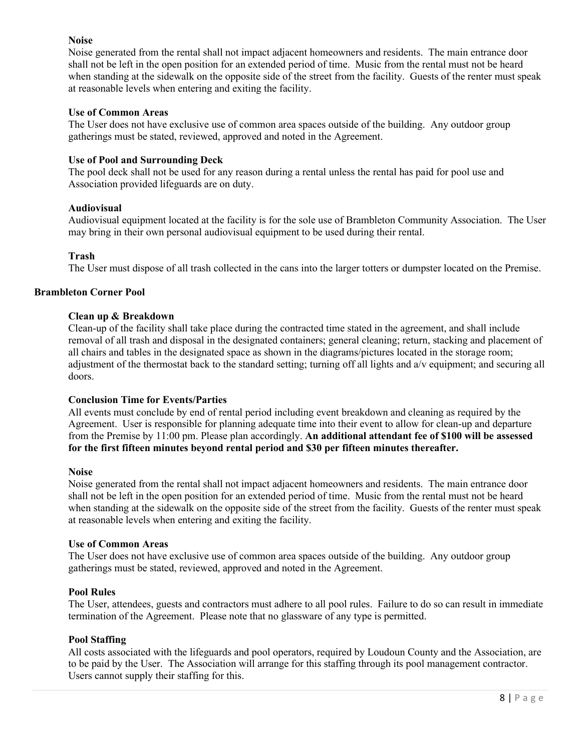## **Noise**

Noise generated from the rental shall not impact adjacent homeowners and residents. The main entrance door shall not be left in the open position for an extended period of time. Music from the rental must not be heard when standing at the sidewalk on the opposite side of the street from the facility. Guests of the renter must speak at reasonable levels when entering and exiting the facility.

### **Use of Common Areas**

The User does not have exclusive use of common area spaces outside of the building. Any outdoor group gatherings must be stated, reviewed, approved and noted in the Agreement.

#### **Use of Pool and Surrounding Deck**

The pool deck shall not be used for any reason during a rental unless the rental has paid for pool use and Association provided lifeguards are on duty.

### **Audiovisual**

Audiovisual equipment located at the facility is for the sole use of Brambleton Community Association. The User may bring in their own personal audiovisual equipment to be used during their rental.

#### **Trash**

The User must dispose of all trash collected in the cans into the larger totters or dumpster located on the Premise.

### **Brambleton Corner Pool**

#### **Clean up & Breakdown**

Clean-up of the facility shall take place during the contracted time stated in the agreement, and shall include removal of all trash and disposal in the designated containers; general cleaning; return, stacking and placement of all chairs and tables in the designated space as shown in the diagrams/pictures located in the storage room; adjustment of the thermostat back to the standard setting; turning off all lights and a/v equipment; and securing all doors.

#### **Conclusion Time for Events/Parties**

All events must conclude by end of rental period including event breakdown and cleaning as required by the Agreement. User is responsible for planning adequate time into their event to allow for clean-up and departure from the Premise by 11:00 pm. Please plan accordingly. **An additional attendant fee of \$100 will be assessed for the first fifteen minutes beyond rental period and \$30 per fifteen minutes thereafter.**

#### **Noise**

Noise generated from the rental shall not impact adjacent homeowners and residents. The main entrance door shall not be left in the open position for an extended period of time. Music from the rental must not be heard when standing at the sidewalk on the opposite side of the street from the facility. Guests of the renter must speak at reasonable levels when entering and exiting the facility.

#### **Use of Common Areas**

The User does not have exclusive use of common area spaces outside of the building. Any outdoor group gatherings must be stated, reviewed, approved and noted in the Agreement.

#### **Pool Rules**

The User, attendees, guests and contractors must adhere to all pool rules. Failure to do so can result in immediate termination of the Agreement. Please note that no glassware of any type is permitted.

#### **Pool Staffing**

All costs associated with the lifeguards and pool operators, required by Loudoun County and the Association, are to be paid by the User. The Association will arrange for this staffing through its pool management contractor. Users cannot supply their staffing for this.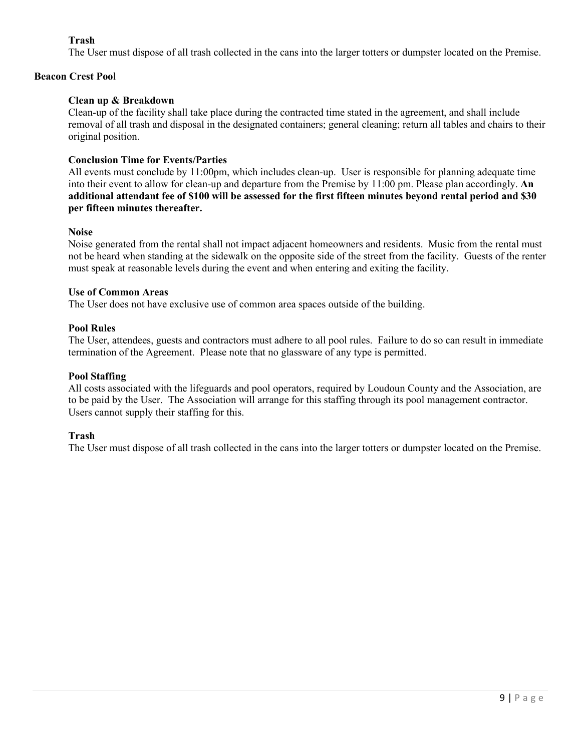# **Trash**

The User must dispose of all trash collected in the cans into the larger totters or dumpster located on the Premise.

# **Beacon Crest Poo**l

# **Clean up & Breakdown**

Clean-up of the facility shall take place during the contracted time stated in the agreement, and shall include removal of all trash and disposal in the designated containers; general cleaning; return all tables and chairs to their original position.

## **Conclusion Time for Events/Parties**

All events must conclude by 11:00pm, which includes clean-up. User is responsible for planning adequate time into their event to allow for clean-up and departure from the Premise by 11:00 pm. Please plan accordingly. **An additional attendant fee of \$100 will be assessed for the first fifteen minutes beyond rental period and \$30 per fifteen minutes thereafter.**

## **Noise**

Noise generated from the rental shall not impact adjacent homeowners and residents. Music from the rental must not be heard when standing at the sidewalk on the opposite side of the street from the facility. Guests of the renter must speak at reasonable levels during the event and when entering and exiting the facility.

## **Use of Common Areas**

The User does not have exclusive use of common area spaces outside of the building.

## **Pool Rules**

The User, attendees, guests and contractors must adhere to all pool rules. Failure to do so can result in immediate termination of the Agreement. Please note that no glassware of any type is permitted.

## **Pool Staffing**

All costs associated with the lifeguards and pool operators, required by Loudoun County and the Association, are to be paid by the User. The Association will arrange for this staffing through its pool management contractor. Users cannot supply their staffing for this.

# **Trash**

The User must dispose of all trash collected in the cans into the larger totters or dumpster located on the Premise.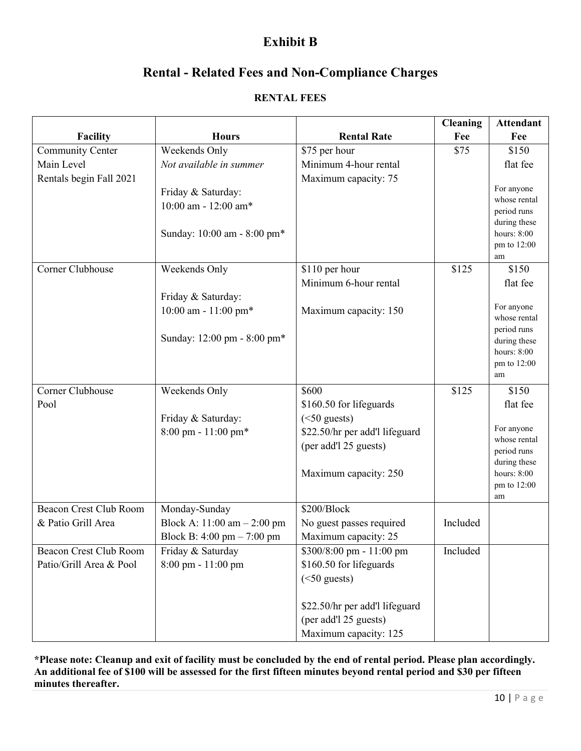# **Exhibit B**

# **Rental - Related Fees and Non-Compliance Charges**

# **RENTAL FEES**

|                               |                                              |                                | <b>Cleaning</b> | <b>Attendant</b>            |
|-------------------------------|----------------------------------------------|--------------------------------|-----------------|-----------------------------|
| <b>Facility</b>               | <b>Hours</b>                                 | <b>Rental Rate</b>             | Fee             | Fee                         |
| <b>Community Center</b>       | Weekends Only                                | \$75 per hour                  | \$75            | \$150                       |
| Main Level                    | Not available in summer                      | Minimum 4-hour rental          |                 | flat fee                    |
| Rentals begin Fall 2021       |                                              | Maximum capacity: 75           |                 |                             |
|                               | Friday & Saturday:                           |                                |                 | For anyone                  |
|                               | 10:00 am - 12:00 am*                         |                                |                 | whose rental                |
|                               |                                              |                                |                 | period runs<br>during these |
|                               | Sunday: 10:00 am - 8:00 pm*                  |                                |                 | hours: $8:00$               |
|                               |                                              |                                |                 | pm to 12:00                 |
|                               |                                              |                                |                 | am                          |
| Corner Clubhouse              | Weekends Only                                | \$110 per hour                 | \$125           | \$150                       |
|                               |                                              | Minimum 6-hour rental          |                 | flat fee                    |
|                               | Friday & Saturday:                           |                                |                 |                             |
|                               | $10:00$ am - $11:00$ pm*                     | Maximum capacity: 150          |                 | For anyone                  |
|                               |                                              |                                |                 | whose rental                |
|                               | Sunday: 12:00 pm - 8:00 pm*                  |                                |                 | period runs<br>during these |
|                               |                                              |                                |                 | hours: 8:00                 |
|                               |                                              |                                |                 | pm to 12:00                 |
|                               |                                              |                                |                 | am                          |
| Corner Clubhouse              | Weekends Only                                | \$600                          | \$125           | \$150                       |
| Pool                          |                                              | \$160.50 for lifeguards        |                 | flat fee                    |
|                               | Friday & Saturday:                           | $(<50$ guests)                 |                 |                             |
|                               | $8:00 \text{ pm} - 11:00 \text{ pm*}$        | \$22.50/hr per add'l lifeguard |                 | For anyone                  |
|                               |                                              | (per add'l 25 guests)          |                 | whose rental                |
|                               |                                              |                                |                 | period runs<br>during these |
|                               |                                              | Maximum capacity: 250          |                 | hours: 8:00                 |
|                               |                                              |                                |                 | pm to 12:00                 |
|                               |                                              |                                |                 | am                          |
| <b>Beacon Crest Club Room</b> | Monday-Sunday                                | \$200/Block                    |                 |                             |
| & Patio Grill Area            | Block A: $11:00$ am $- 2:00$ pm              | No guest passes required       | Included        |                             |
|                               | Block B: $4:00 \text{ pm} - 7:00 \text{ pm}$ | Maximum capacity: 25           |                 |                             |
| Beacon Crest Club Room        | Friday & Saturday                            | \$300/8:00 pm - 11:00 pm       | Included        |                             |
| Patio/Grill Area & Pool       | 8:00 pm - 11:00 pm                           | \$160.50 for lifeguards        |                 |                             |
|                               |                                              | $(<50$ guests)                 |                 |                             |
|                               |                                              | \$22.50/hr per add'l lifeguard |                 |                             |
|                               |                                              | (per add'l 25 guests)          |                 |                             |
|                               |                                              | Maximum capacity: 125          |                 |                             |

**\*Please note: Cleanup and exit of facility must be concluded by the end of rental period. Please plan accordingly. An additional fee of \$100 will be assessed for the first fifteen minutes beyond rental period and \$30 per fifteen minutes thereafter.**